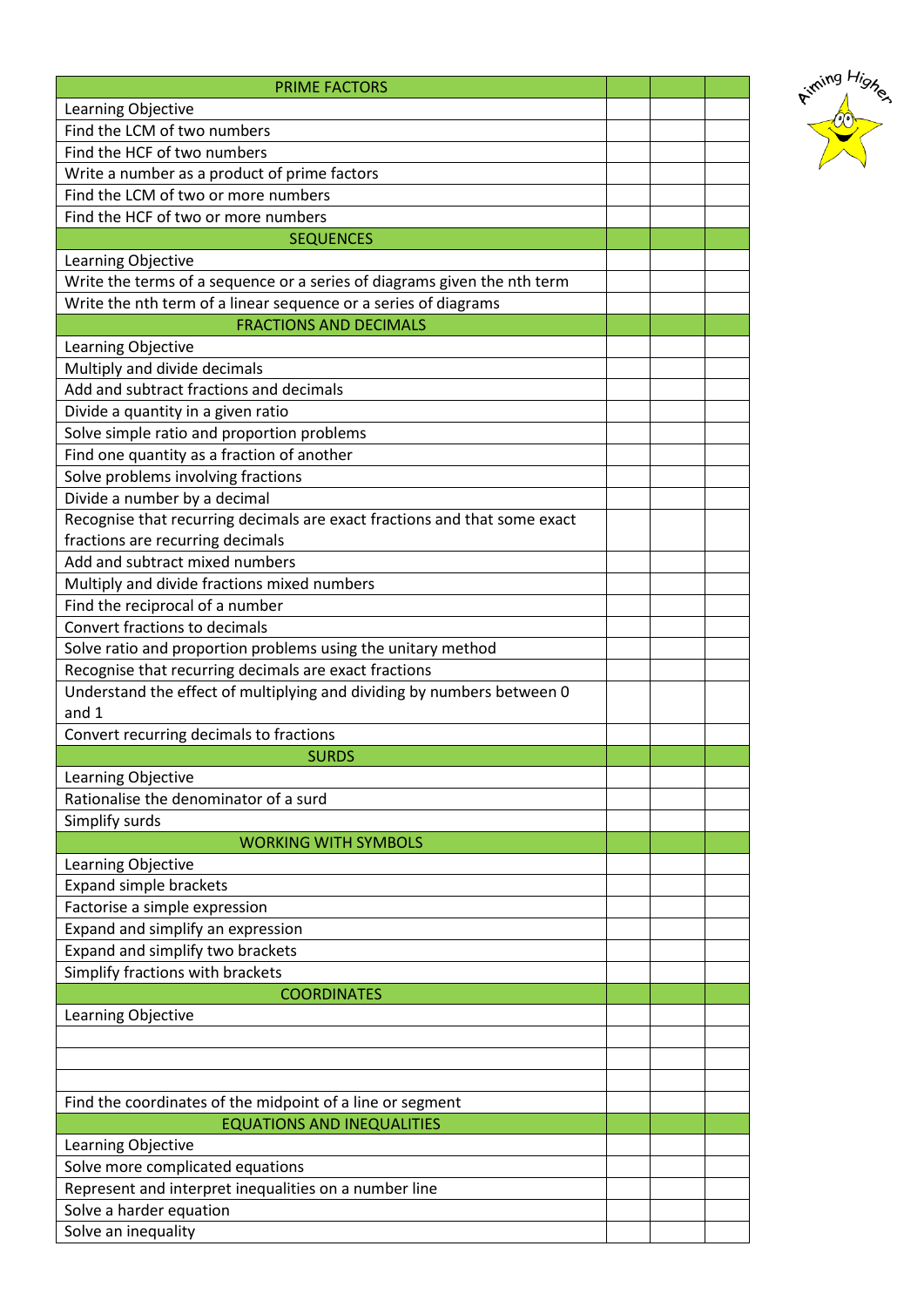| <b>PRIME FACTORS</b>                                                      |  |  |
|---------------------------------------------------------------------------|--|--|
| Learning Objective                                                        |  |  |
| Find the LCM of two numbers                                               |  |  |
| Find the HCF of two numbers                                               |  |  |
| Write a number as a product of prime factors                              |  |  |
| Find the LCM of two or more numbers                                       |  |  |
| Find the HCF of two or more numbers                                       |  |  |
| <b>SEQUENCES</b>                                                          |  |  |
| Learning Objective                                                        |  |  |
| Write the terms of a sequence or a series of diagrams given the nth term  |  |  |
| Write the nth term of a linear sequence or a series of diagrams           |  |  |
| <b>FRACTIONS AND DECIMALS</b>                                             |  |  |
| Learning Objective                                                        |  |  |
| Multiply and divide decimals                                              |  |  |
| Add and subtract fractions and decimals                                   |  |  |
| Divide a quantity in a given ratio                                        |  |  |
| Solve simple ratio and proportion problems                                |  |  |
| Find one quantity as a fraction of another                                |  |  |
| Solve problems involving fractions                                        |  |  |
| Divide a number by a decimal                                              |  |  |
| Recognise that recurring decimals are exact fractions and that some exact |  |  |
| fractions are recurring decimals                                          |  |  |
| Add and subtract mixed numbers                                            |  |  |
| Multiply and divide fractions mixed numbers                               |  |  |
| Find the reciprocal of a number                                           |  |  |
| Convert fractions to decimals                                             |  |  |
| Solve ratio and proportion problems using the unitary method              |  |  |
| Recognise that recurring decimals are exact fractions                     |  |  |
| Understand the effect of multiplying and dividing by numbers between 0    |  |  |
| and 1                                                                     |  |  |
| Convert recurring decimals to fractions<br><b>SURDS</b>                   |  |  |
| Learning Objective                                                        |  |  |
| Rationalise the denominator of a surd                                     |  |  |
| Simplify surds                                                            |  |  |
| <b>WORKING WITH SYMBOLS</b>                                               |  |  |
| Learning Objective                                                        |  |  |
| <b>Expand simple brackets</b>                                             |  |  |
| Factorise a simple expression                                             |  |  |
| Expand and simplify an expression                                         |  |  |
| Expand and simplify two brackets                                          |  |  |
| Simplify fractions with brackets                                          |  |  |
| <b>COORDINATES</b>                                                        |  |  |
| Learning Objective                                                        |  |  |
|                                                                           |  |  |
|                                                                           |  |  |
|                                                                           |  |  |
| Find the coordinates of the midpoint of a line or segment                 |  |  |
| <b>EQUATIONS AND INEQUALITIES</b>                                         |  |  |
| Learning Objective                                                        |  |  |
| Solve more complicated equations                                          |  |  |
| Represent and interpret inequalities on a number line                     |  |  |
| Solve a harder equation                                                   |  |  |
| Solve an inequality                                                       |  |  |

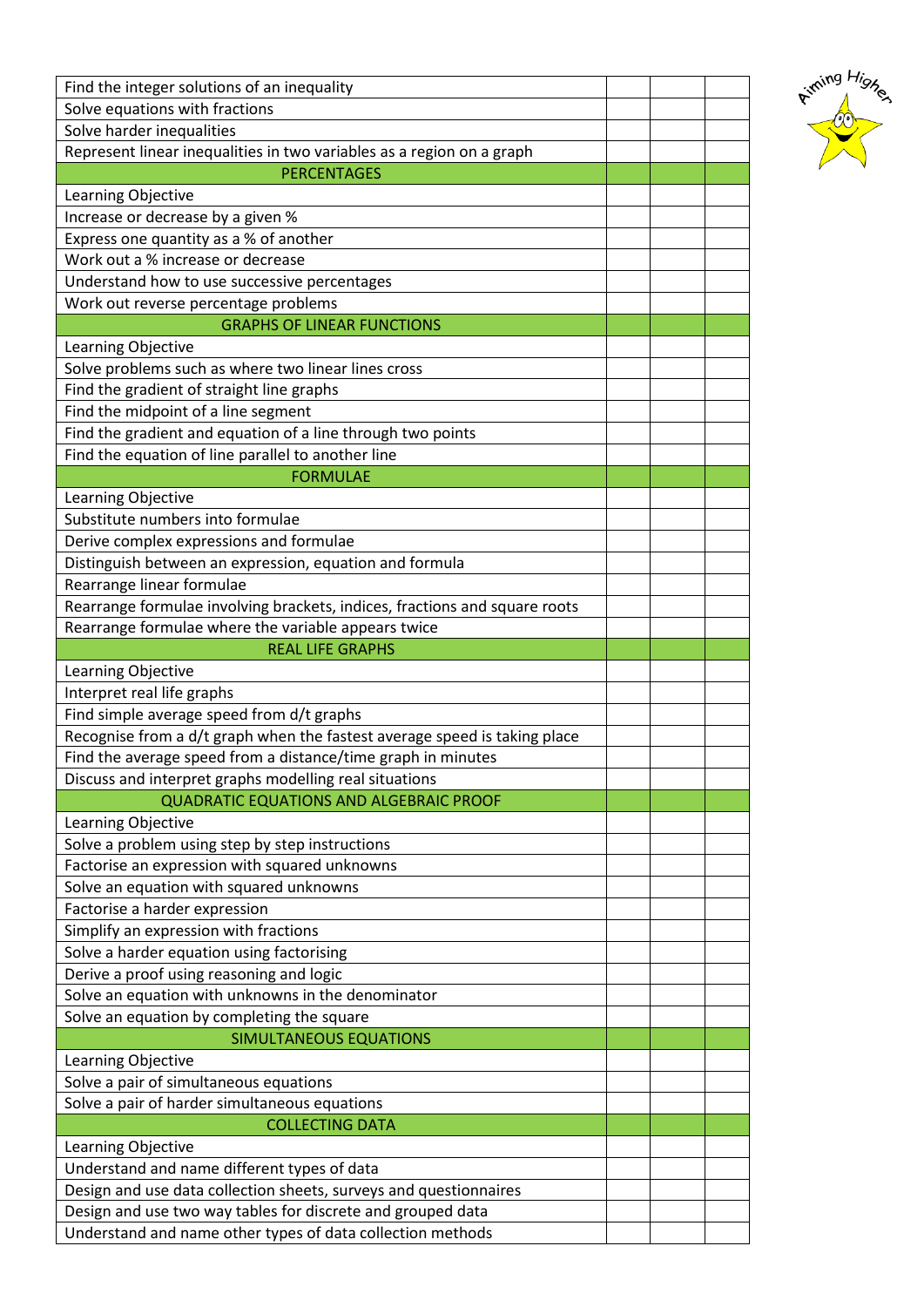| Find the integer solutions of an inequality                                |  |  |
|----------------------------------------------------------------------------|--|--|
| Solve equations with fractions                                             |  |  |
| Solve harder inequalities                                                  |  |  |
| Represent linear inequalities in two variables as a region on a graph      |  |  |
| <b>PERCENTAGES</b>                                                         |  |  |
| Learning Objective                                                         |  |  |
| Increase or decrease by a given %                                          |  |  |
| Express one quantity as a % of another                                     |  |  |
| Work out a % increase or decrease                                          |  |  |
| Understand how to use successive percentages                               |  |  |
| Work out reverse percentage problems                                       |  |  |
| <b>GRAPHS OF LINEAR FUNCTIONS</b>                                          |  |  |
| Learning Objective                                                         |  |  |
| Solve problems such as where two linear lines cross                        |  |  |
| Find the gradient of straight line graphs                                  |  |  |
| Find the midpoint of a line segment                                        |  |  |
| Find the gradient and equation of a line through two points                |  |  |
| Find the equation of line parallel to another line                         |  |  |
| <b>FORMULAE</b>                                                            |  |  |
| Learning Objective                                                         |  |  |
| Substitute numbers into formulae                                           |  |  |
| Derive complex expressions and formulae                                    |  |  |
| Distinguish between an expression, equation and formula                    |  |  |
| Rearrange linear formulae                                                  |  |  |
| Rearrange formulae involving brackets, indices, fractions and square roots |  |  |
| Rearrange formulae where the variable appears twice                        |  |  |
| <b>REAL LIFE GRAPHS</b>                                                    |  |  |
| Learning Objective                                                         |  |  |
| Interpret real life graphs                                                 |  |  |
| Find simple average speed from d/t graphs                                  |  |  |
| Recognise from a d/t graph when the fastest average speed is taking place  |  |  |
| Find the average speed from a distance/time graph in minutes               |  |  |
| Discuss and interpret graphs modelling real situations                     |  |  |
| <b>QUADRATIC EQUATIONS AND ALGEBRAIC PROOF</b>                             |  |  |
| Learning Objective                                                         |  |  |
| Solve a problem using step by step instructions                            |  |  |
| Factorise an expression with squared unknowns                              |  |  |
| Solve an equation with squared unknowns                                    |  |  |
| Factorise a harder expression                                              |  |  |
| Simplify an expression with fractions                                      |  |  |
| Solve a harder equation using factorising                                  |  |  |
| Derive a proof using reasoning and logic                                   |  |  |
| Solve an equation with unknowns in the denominator                         |  |  |
| Solve an equation by completing the square                                 |  |  |
| <b>SIMULTANEOUS EQUATIONS</b>                                              |  |  |
| Learning Objective                                                         |  |  |
| Solve a pair of simultaneous equations                                     |  |  |
| Solve a pair of harder simultaneous equations                              |  |  |
| <b>COLLECTING DATA</b>                                                     |  |  |
| Learning Objective                                                         |  |  |
| Understand and name different types of data                                |  |  |
| Design and use data collection sheets, surveys and questionnaires          |  |  |
| Design and use two way tables for discrete and grouped data                |  |  |
| Understand and name other types of data collection methods                 |  |  |
|                                                                            |  |  |

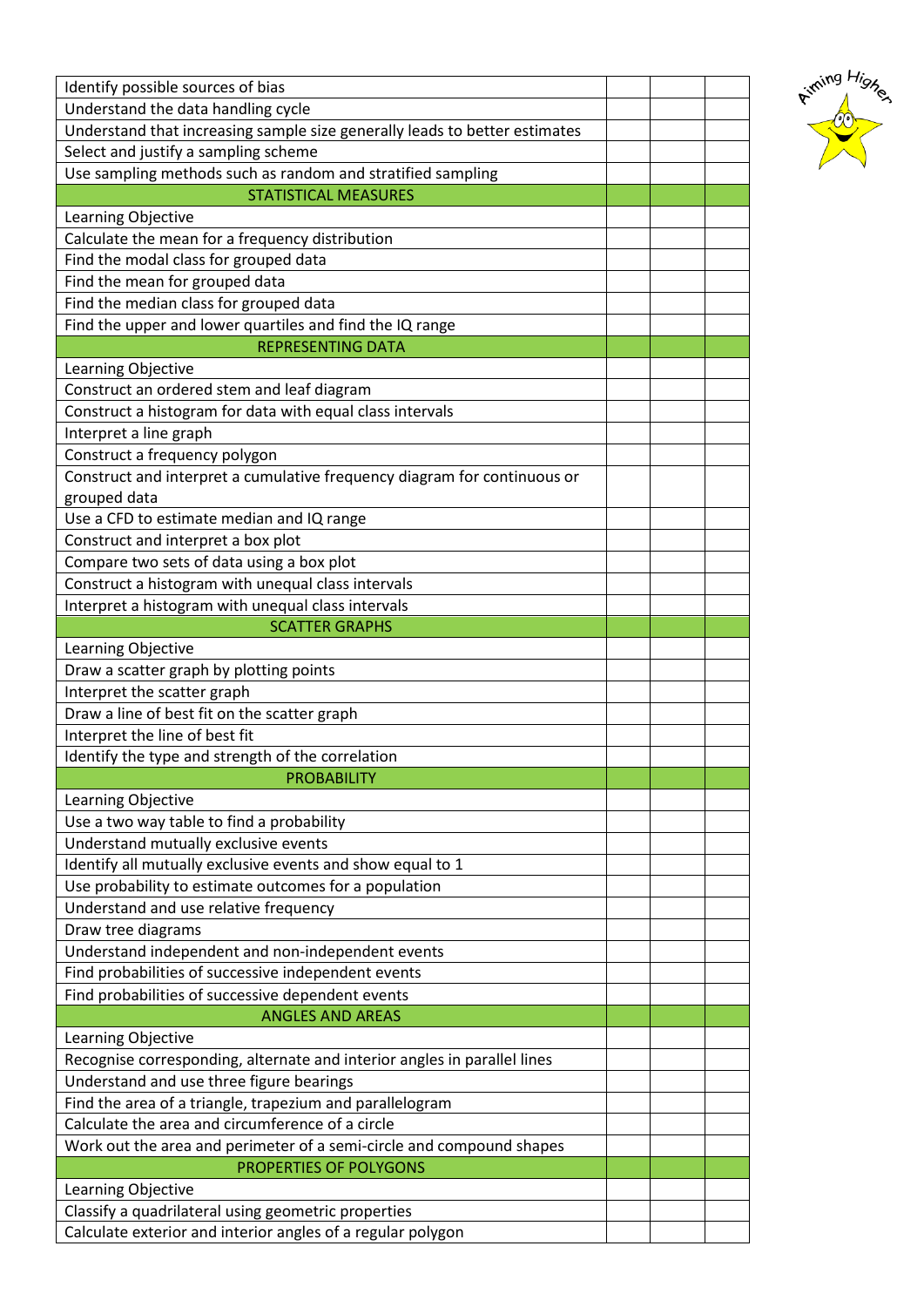| Identify possible sources of bias                                          |  |  |
|----------------------------------------------------------------------------|--|--|
| Understand the data handling cycle                                         |  |  |
| Understand that increasing sample size generally leads to better estimates |  |  |
| Select and justify a sampling scheme                                       |  |  |
| Use sampling methods such as random and stratified sampling                |  |  |
| <b>STATISTICAL MEASURES</b>                                                |  |  |
| Learning Objective                                                         |  |  |
| Calculate the mean for a frequency distribution                            |  |  |
| Find the modal class for grouped data                                      |  |  |
| Find the mean for grouped data                                             |  |  |
| Find the median class for grouped data                                     |  |  |
| Find the upper and lower quartiles and find the IQ range                   |  |  |
| <b>REPRESENTING DATA</b>                                                   |  |  |
|                                                                            |  |  |
| Learning Objective<br>Construct an ordered stem and leaf diagram           |  |  |
|                                                                            |  |  |
| Construct a histogram for data with equal class intervals                  |  |  |
| Interpret a line graph                                                     |  |  |
| Construct a frequency polygon                                              |  |  |
| Construct and interpret a cumulative frequency diagram for continuous or   |  |  |
| grouped data                                                               |  |  |
| Use a CFD to estimate median and IQ range                                  |  |  |
| Construct and interpret a box plot                                         |  |  |
| Compare two sets of data using a box plot                                  |  |  |
| Construct a histogram with unequal class intervals                         |  |  |
| Interpret a histogram with unequal class intervals                         |  |  |
| <b>SCATTER GRAPHS</b>                                                      |  |  |
| Learning Objective                                                         |  |  |
| Draw a scatter graph by plotting points                                    |  |  |
|                                                                            |  |  |
| Interpret the scatter graph                                                |  |  |
| Draw a line of best fit on the scatter graph                               |  |  |
| Interpret the line of best fit                                             |  |  |
| Identify the type and strength of the correlation                          |  |  |
| <b>PROBABILITY</b>                                                         |  |  |
| Learning Objective                                                         |  |  |
| Use a two way table to find a probability                                  |  |  |
| Understand mutually exclusive events                                       |  |  |
| Identify all mutually exclusive events and show equal to 1                 |  |  |
| Use probability to estimate outcomes for a population                      |  |  |
| Understand and use relative frequency                                      |  |  |
| Draw tree diagrams                                                         |  |  |
| Understand independent and non-independent events                          |  |  |
| Find probabilities of successive independent events                        |  |  |
| Find probabilities of successive dependent events                          |  |  |
| <b>ANGLES AND AREAS</b>                                                    |  |  |
| Learning Objective                                                         |  |  |
| Recognise corresponding, alternate and interior angles in parallel lines   |  |  |
| Understand and use three figure bearings                                   |  |  |
| Find the area of a triangle, trapezium and parallelogram                   |  |  |
| Calculate the area and circumference of a circle                           |  |  |
| Work out the area and perimeter of a semi-circle and compound shapes       |  |  |
| PROPERTIES OF POLYGONS                                                     |  |  |
| Learning Objective                                                         |  |  |
| Classify a quadrilateral using geometric properties                        |  |  |

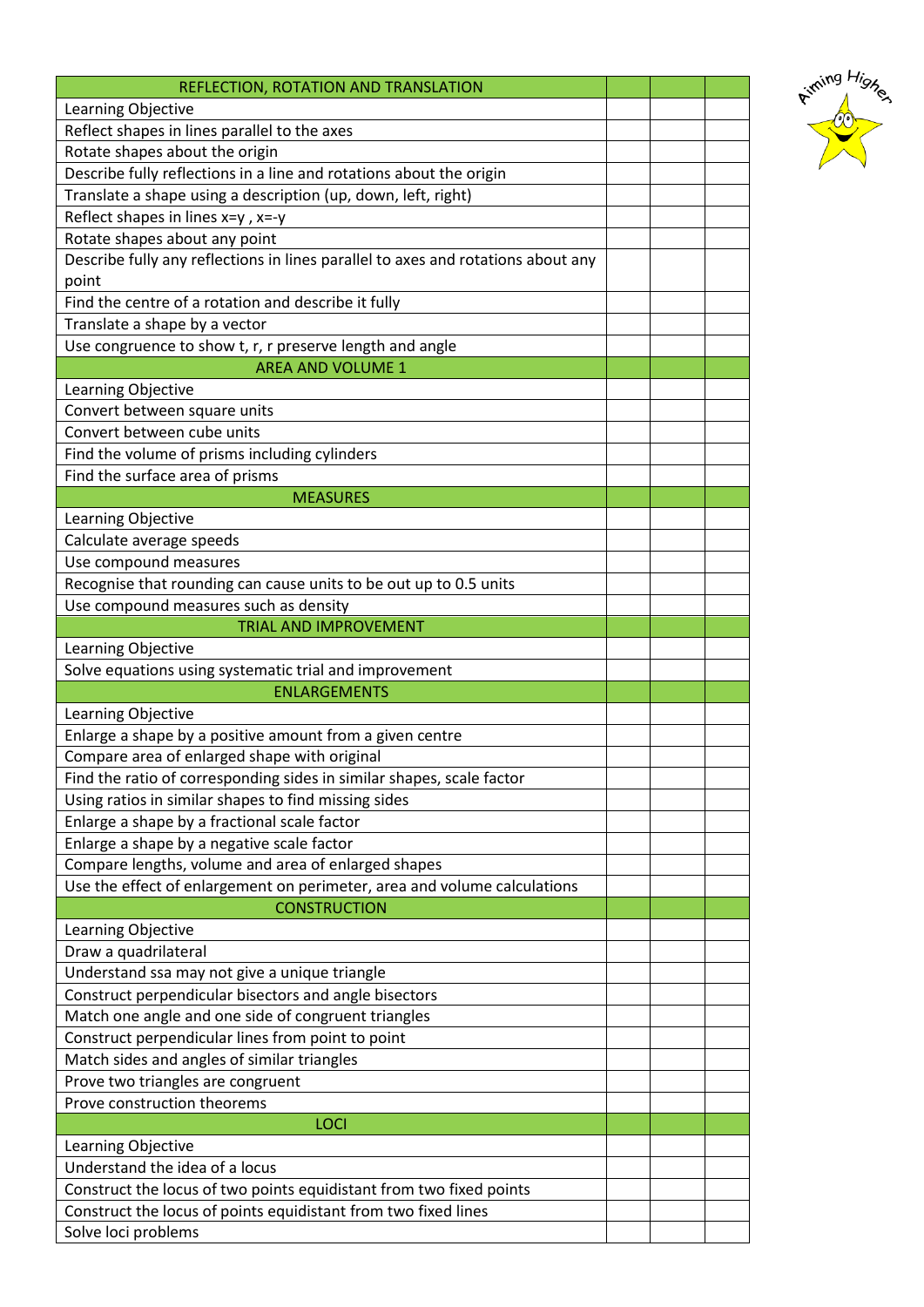| REFLECTION, ROTATION AND TRANSLATION                                                  |  |  |
|---------------------------------------------------------------------------------------|--|--|
| Learning Objective                                                                    |  |  |
| Reflect shapes in lines parallel to the axes                                          |  |  |
| Rotate shapes about the origin                                                        |  |  |
| Describe fully reflections in a line and rotations about the origin                   |  |  |
| Translate a shape using a description (up, down, left, right)                         |  |  |
| Reflect shapes in lines $x=y$ , $x=y$                                                 |  |  |
| Rotate shapes about any point                                                         |  |  |
| Describe fully any reflections in lines parallel to axes and rotations about any      |  |  |
| point                                                                                 |  |  |
| Find the centre of a rotation and describe it fully                                   |  |  |
| Translate a shape by a vector                                                         |  |  |
| Use congruence to show t, r, r preserve length and angle                              |  |  |
| <b>AREA AND VOLUME 1</b>                                                              |  |  |
| Learning Objective                                                                    |  |  |
| Convert between square units                                                          |  |  |
| Convert between cube units                                                            |  |  |
| Find the volume of prisms including cylinders                                         |  |  |
| Find the surface area of prisms<br><b>MEASURES</b>                                    |  |  |
| Learning Objective                                                                    |  |  |
| Calculate average speeds                                                              |  |  |
| Use compound measures                                                                 |  |  |
| Recognise that rounding can cause units to be out up to 0.5 units                     |  |  |
| Use compound measures such as density                                                 |  |  |
| <b>TRIAL AND IMPROVEMENT</b>                                                          |  |  |
| Learning Objective                                                                    |  |  |
| Solve equations using systematic trial and improvement                                |  |  |
| <b>ENLARGEMENTS</b>                                                                   |  |  |
| Learning Objective                                                                    |  |  |
| Enlarge a shape by a positive amount from a given centre                              |  |  |
| Compare area of enlarged shape with original                                          |  |  |
| Find the ratio of corresponding sides in similar shapes, scale factor                 |  |  |
| Using ratios in similar shapes to find missing sides                                  |  |  |
| Enlarge a shape by a fractional scale factor                                          |  |  |
| Enlarge a shape by a negative scale factor                                            |  |  |
| Compare lengths, volume and area of enlarged shapes                                   |  |  |
| Use the effect of enlargement on perimeter, area and volume calculations              |  |  |
| <b>CONSTRUCTION</b>                                                                   |  |  |
|                                                                                       |  |  |
| Learning Objective                                                                    |  |  |
| Draw a quadrilateral                                                                  |  |  |
| Understand ssa may not give a unique triangle                                         |  |  |
| Construct perpendicular bisectors and angle bisectors                                 |  |  |
| Match one angle and one side of congruent triangles                                   |  |  |
| Construct perpendicular lines from point to point                                     |  |  |
| Match sides and angles of similar triangles                                           |  |  |
| Prove two triangles are congruent                                                     |  |  |
| Prove construction theorems                                                           |  |  |
| <b>LOCI</b>                                                                           |  |  |
| Learning Objective                                                                    |  |  |
| Understand the idea of a locus                                                        |  |  |
| Construct the locus of two points equidistant from two fixed points                   |  |  |
| Construct the locus of points equidistant from two fixed lines<br>Solve loci problems |  |  |